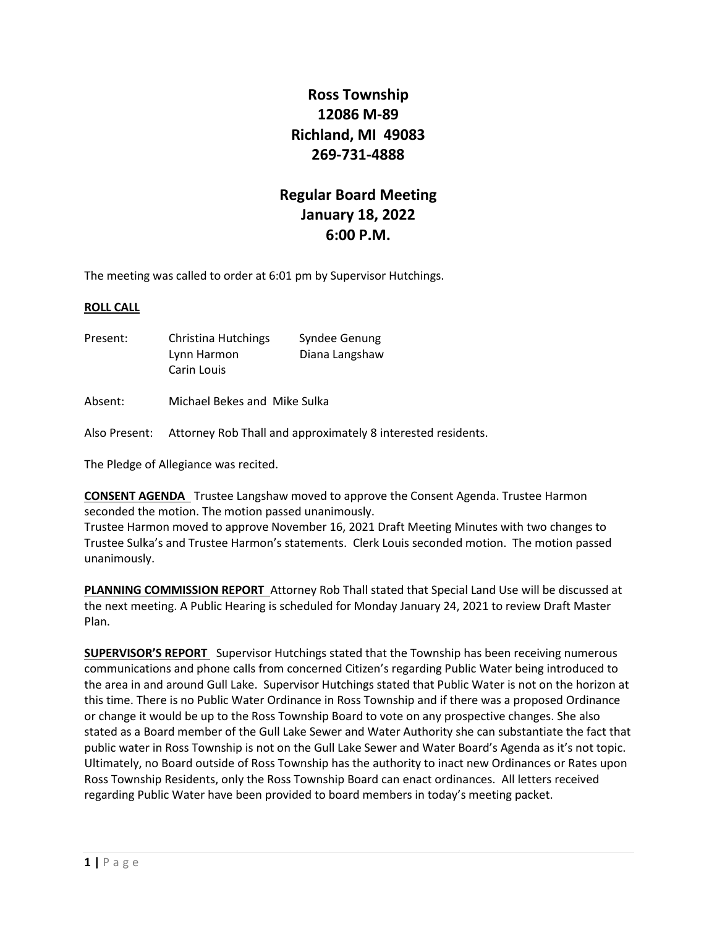# **Ross Township 12086 M-89 Richland, MI 49083 269-731-4888**

# **Regular Board Meeting January 18, 2022 6:00 P.M.**

The meeting was called to order at 6:01 pm by Supervisor Hutchings.

#### **ROLL CALL**

Present: Christina Hutchings Syndee Genung Lynn Harmon Diana Langshaw Carin Louis

Absent: Michael Bekes and Mike Sulka

Also Present: Attorney Rob Thall and approximately 8 interested residents.

The Pledge of Allegiance was recited.

**CONSENT AGENDA** Trustee Langshaw moved to approve the Consent Agenda. Trustee Harmon seconded the motion. The motion passed unanimously.

Trustee Harmon moved to approve November 16, 2021 Draft Meeting Minutes with two changes to Trustee Sulka's and Trustee Harmon's statements. Clerk Louis seconded motion. The motion passed unanimously.

**PLANNING COMMISSION REPORT** Attorney Rob Thall stated that Special Land Use will be discussed at the next meeting. A Public Hearing is scheduled for Monday January 24, 2021 to review Draft Master Plan.

**SUPERVISOR'S REPORT** Supervisor Hutchings stated that the Township has been receiving numerous communications and phone calls from concerned Citizen's regarding Public Water being introduced to the area in and around Gull Lake. Supervisor Hutchings stated that Public Water is not on the horizon at this time. There is no Public Water Ordinance in Ross Township and if there was a proposed Ordinance or change it would be up to the Ross Township Board to vote on any prospective changes. She also stated as a Board member of the Gull Lake Sewer and Water Authority she can substantiate the fact that public water in Ross Township is not on the Gull Lake Sewer and Water Board's Agenda as it's not topic. Ultimately, no Board outside of Ross Township has the authority to inact new Ordinances or Rates upon Ross Township Residents, only the Ross Township Board can enact ordinances. All letters received regarding Public Water have been provided to board members in today's meeting packet.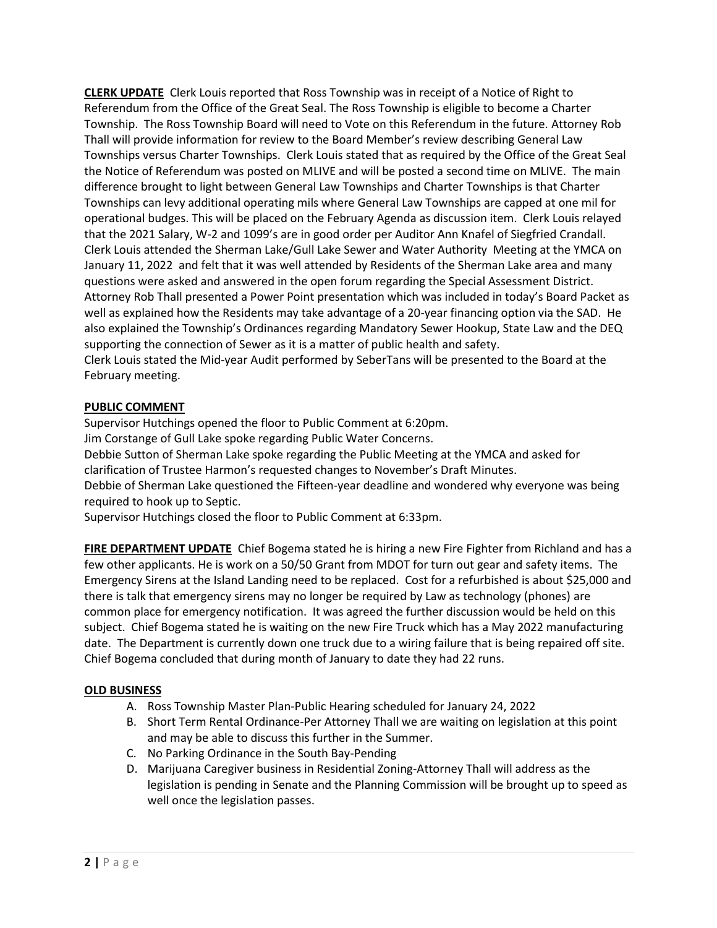**CLERK UPDATE** Clerk Louis reported that Ross Township was in receipt of a Notice of Right to Referendum from the Office of the Great Seal. The Ross Township is eligible to become a Charter Township. The Ross Township Board will need to Vote on this Referendum in the future. Attorney Rob Thall will provide information for review to the Board Member's review describing General Law Townships versus Charter Townships. Clerk Louis stated that as required by the Office of the Great Seal the Notice of Referendum was posted on MLIVE and will be posted a second time on MLIVE. The main difference brought to light between General Law Townships and Charter Townships is that Charter Townships can levy additional operating mils where General Law Townships are capped at one mil for operational budges. This will be placed on the February Agenda as discussion item. Clerk Louis relayed that the 2021 Salary, W-2 and 1099's are in good order per Auditor Ann Knafel of Siegfried Crandall. Clerk Louis attended the Sherman Lake/Gull Lake Sewer and Water Authority Meeting at the YMCA on January 11, 2022 and felt that it was well attended by Residents of the Sherman Lake area and many questions were asked and answered in the open forum regarding the Special Assessment District. Attorney Rob Thall presented a Power Point presentation which was included in today's Board Packet as well as explained how the Residents may take advantage of a 20-year financing option via the SAD. He also explained the Township's Ordinances regarding Mandatory Sewer Hookup, State Law and the DEQ supporting the connection of Sewer as it is a matter of public health and safety. Clerk Louis stated the Mid-year Audit performed by SeberTans will be presented to the Board at the February meeting.

## **PUBLIC COMMENT**

Supervisor Hutchings opened the floor to Public Comment at 6:20pm.

Jim Corstange of Gull Lake spoke regarding Public Water Concerns.

Debbie Sutton of Sherman Lake spoke regarding the Public Meeting at the YMCA and asked for clarification of Trustee Harmon's requested changes to November's Draft Minutes.

Debbie of Sherman Lake questioned the Fifteen-year deadline and wondered why everyone was being required to hook up to Septic.

Supervisor Hutchings closed the floor to Public Comment at 6:33pm.

**FIRE DEPARTMENT UPDATE** Chief Bogema stated he is hiring a new Fire Fighter from Richland and has a few other applicants. He is work on a 50/50 Grant from MDOT for turn out gear and safety items. The Emergency Sirens at the Island Landing need to be replaced. Cost for a refurbished is about \$25,000 and there is talk that emergency sirens may no longer be required by Law as technology (phones) are common place for emergency notification. It was agreed the further discussion would be held on this subject. Chief Bogema stated he is waiting on the new Fire Truck which has a May 2022 manufacturing date. The Department is currently down one truck due to a wiring failure that is being repaired off site. Chief Bogema concluded that during month of January to date they had 22 runs.

### **OLD BUSINESS**

- A. Ross Township Master Plan-Public Hearing scheduled for January 24, 2022
- B. Short Term Rental Ordinance-Per Attorney Thall we are waiting on legislation at this point and may be able to discuss this further in the Summer.
- C. No Parking Ordinance in the South Bay-Pending
- D. Marijuana Caregiver business in Residential Zoning-Attorney Thall will address as the legislation is pending in Senate and the Planning Commission will be brought up to speed as well once the legislation passes.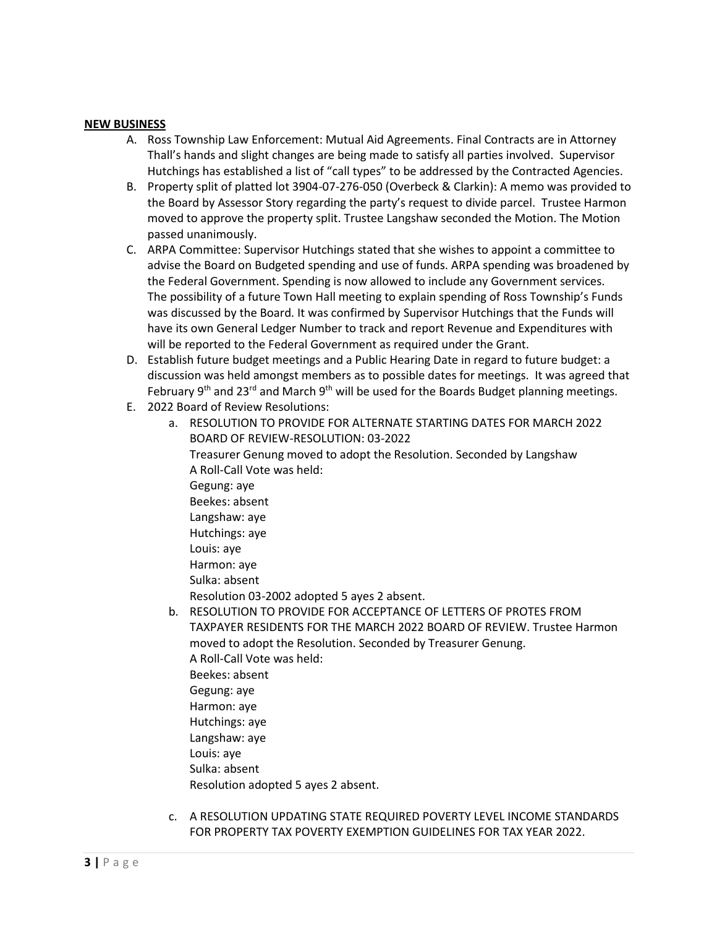#### **NEW BUSINESS**

- A. Ross Township Law Enforcement: Mutual Aid Agreements. Final Contracts are in Attorney Thall's hands and slight changes are being made to satisfy all parties involved. Supervisor Hutchings has established a list of "call types" to be addressed by the Contracted Agencies.
- B. Property split of platted lot 3904-07-276-050 (Overbeck & Clarkin): A memo was provided to the Board by Assessor Story regarding the party's request to divide parcel. Trustee Harmon moved to approve the property split. Trustee Langshaw seconded the Motion. The Motion passed unanimously.
- C. ARPA Committee: Supervisor Hutchings stated that she wishes to appoint a committee to advise the Board on Budgeted spending and use of funds. ARPA spending was broadened by the Federal Government. Spending is now allowed to include any Government services. The possibility of a future Town Hall meeting to explain spending of Ross Township's Funds was discussed by the Board. It was confirmed by Supervisor Hutchings that the Funds will have its own General Ledger Number to track and report Revenue and Expenditures with will be reported to the Federal Government as required under the Grant.
- D. Establish future budget meetings and a Public Hearing Date in regard to future budget: a discussion was held amongst members as to possible dates for meetings. It was agreed that February 9<sup>th</sup> and 23<sup>rd</sup> and March 9<sup>th</sup> will be used for the Boards Budget planning meetings.
- E. 2022 Board of Review Resolutions:
	- a. RESOLUTION TO PROVIDE FOR ALTERNATE STARTING DATES FOR MARCH 2022 BOARD OF REVIEW-RESOLUTION: 03-2022 Treasurer Genung moved to adopt the Resolution. Seconded by Langshaw A Roll-Call Vote was held: Gegung: aye Beekes: absent Langshaw: aye Hutchings: aye Louis: aye Harmon: aye Sulka: absent Resolution 03-2002 adopted 5 ayes 2 absent.
	- b. RESOLUTION TO PROVIDE FOR ACCEPTANCE OF LETTERS OF PROTES FROM TAXPAYER RESIDENTS FOR THE MARCH 2022 BOARD OF REVIEW. Trustee Harmon moved to adopt the Resolution. Seconded by Treasurer Genung. A Roll-Call Vote was held: Beekes: absent Gegung: aye Harmon: aye Hutchings: aye Langshaw: aye Louis: aye Sulka: absent Resolution adopted 5 ayes 2 absent.
	- c. A RESOLUTION UPDATING STATE REQUIRED POVERTY LEVEL INCOME STANDARDS FOR PROPERTY TAX POVERTY EXEMPTION GUIDELINES FOR TAX YEAR 2022.